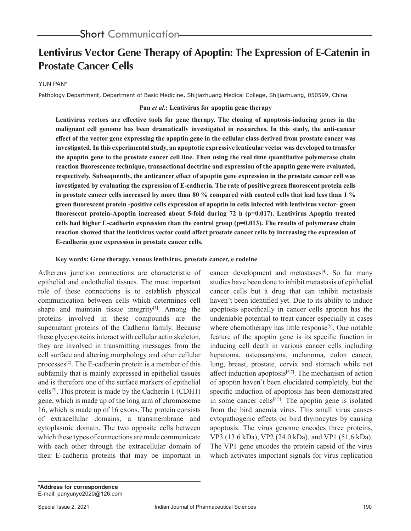# **Lentivirus Vector Gene Therapy of Apoptin: The Expression of E-Catenin in Prostate Cancer Cells**

#### YUN PAN\*

Pathology Department, Department of Basic Medicine, Shijiazhuang Medical College, Shijiazhuang, 050599, China

#### **Pan** *et al.***: Lentivirus for apoptin gene therapy**

**Lentivirus vectors are effective tools for gene therapy. The cloning of apoptosis-inducing genes in the malignant cell genome has been dramatically investigated in researches. In this study, the anti-cancer effect of the vector gene expressing the apoptin gene in the cellular class derived from prostate cancer was investigated. In this experimental study, an apoptotic expressive lenticular vector was developed to transfer the apoptin gene to the prostate cancer cell line. Then using the real time quantitative polymerase chain reaction fluorescence technique, transactional doctrine and expression of the apoptin gene were evaluated, respectively. Subsequently, the anticancer effect of apoptin gene expression in the prostate cancer cell was investigated by evaluating the expression of E-cadherin. The rate of positive green fluorescent protein cells in prostate cancer cells increased by more than 80 % compared with control cells that had less than 1 % green fluorescent protein -positive cells expression of apoptin in cells infected with lentivirus vector- green fluorescent protein-Apoptin increased about 5-fold during 72 h (p=0.017). Lentivirus Apoptin treated cells had higher E-cadherin expression than the control group (p=0.013). The results of polymerase chain reaction showed that the lentivirus vector could affect prostate cancer cells by increasing the expression of E-cadherin gene expression in prostate cancer cells.**

#### **Key words: Gene therapy, venous lentivirus, prostate cancer, e codeine**

Adherens junction connections are characteristic of epithelial and endothelial tissues. The most important role of these connections is to establish physical communication between cells which determines cell shape and maintain tissue integrity $[1]$ . Among the proteins involved in these compounds are the supernatant proteins of the Cadherin family. Because these glycoproteins interact with cellular actin skeleton, they are involved in transmitting messages from the cell surface and altering morphology and other cellular processes<sup>[2]</sup>. The E-cadherin protein is a member of this subfamily that is mainly expressed in epithelial tissues and is therefore one of the surface markers of epithelial cells<sup>[3]</sup>. This protein is made by the Cadherin 1 (CDH1) gene, which is made up of the long arm of chromosome 16, which is made up of 16 exons. The protein consists of extracellular domains, a transmembrane and cytoplasmic domain. The two opposite cells between which these types of connections are made communicate with each other through the extracellular domain of their E-cadherin proteins that may be important in

cancer development and metastases $[4]$ . So far many studies have been done to inhibit metastasis of epithelial cancer cells but a drug that can inhibit metastasis haven't been identified yet. Due to its ability to induce apoptosis specifically in cancer cells apoptin has the undeniable potential to treat cancer especially in cases where chemotherapy has little response<sup>[5]</sup>. One notable feature of the apoptin gene is its specific function in inducing cell death in various cancer cells including hepatoma, osteosarcoma, melanoma, colon cancer, lung, breast, prostate, cervix and stomach while not affect induction apoptosis $[6,7]$ . The mechanism of action of apoptin haven't been elucidated completely, but the specific induction of apoptosis has been demonstrated in some cancer cells $[8,9]$ . The apoptin gene is isolated from the bird anemia virus. This small virus causes cytopathogenic effects on bird thymocytes by causing apoptosis. The virus genome encodes three proteins, VP3 (13.6 kDa), VP2 (24.0 kDa), and VP1 (51.6 kDa). The VP1 gene encodes the protein capsid of the virus which activates important signals for virus replication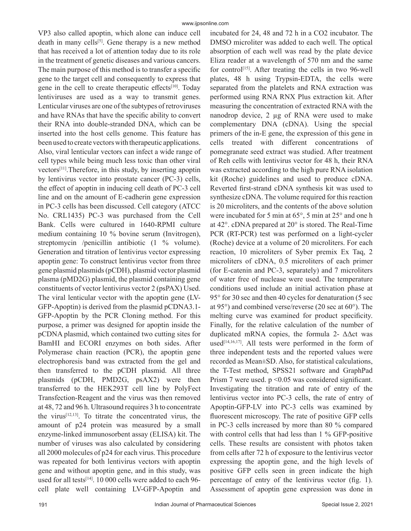VP3 also called apoptin, which alone can induce cell death in many cells<sup>[5]</sup>. Gene therapy is a new method that has received a lot of attention today due to its role in the treatment of genetic diseases and various cancers. The main purpose of this method is to transfer a specific gene to the target cell and consequently to express that gene in the cell to create therapeutic effects<sup>[10]</sup>. Today lentiviruses are used as a way to transmit genes. Lenticular viruses are one of the subtypes of retroviruses and have RNAs that have the specific ability to convert their RNA into double-stranded DNA, which can be inserted into the host cells genome. This feature has been used to create vectors with therapeutic applications. Also, viral lenticular vectors can infect a wide range of cell types while being much less toxic than other viral vectors[11].Therefore, in this study, by inserting apoptin by lentivirus vector into prostate cancer (PC-3) cells, the effect of apoptin in inducing cell death of PC-3 cell line and on the amount of E-cadherin gene expression in PC-3 cells has been discussed. Cell category (ATCC No. CRL1435) PC-3 was purchased from the Cell Bank. Cells were cultured in 1640-RPMI culture medium containing 10 % bovine serum (Invitrogen), streptomycin /penicillin antibiotic (1 % volume). Generation and titration of lentivirus vector expressing apoptin gene: To construct lentivirus vector from three gene plasmid plasmids (pCDH), plasmid vector plasmid plasma (pMD2G) plasmid, the plasmid containing gene constituents of vector lentivirus vector 2 (psPAX) Used. The viral lenticular vector with the apoptin gene (LV-GFP-Apoptin) is derived from the plasmid pCDNA3.1- GFP-Apoptin by the PCR Cloning method. For this purpose, a primer was designed for apoptin inside the pCDNA plasmid, which contained two cutting sites for BamHI and ECORI enzymes on both sides. After Polymerase chain reaction (PCR), the apoptin gene electrophoresis band was extracted from the gel and then transferred to the pCDH plasmid. All three plasmids (pCDH, PMD2G, psAX2) were then transferred to the HEK293T cell line by PolyFect Transfection-Reagent and the virus was then removed at 48, 72 and 96 h. Ultrasound requires 3 h to concentrate the virus<sup>[12,13]</sup>. To titrate the concentrated virus, the amount of p24 protein was measured by a small enzyme-linked immunosorbent assay (ELISA) kit. The number of viruses was also calculated by considering all 2000 molecules of p24 for each virus. This procedure was repeated for both lentivirus vectors with apoptin gene and without apoptin gene, and in this study, was used for all tests<sup>[14]</sup>. 10 000 cells were added to each 96cell plate well containing LV-GFP-Apoptin and incubated for 24, 48 and 72 h in a CO2 incubator. The DMSO microliter was added to each well. The optical absorption of each well was read by the plate device Eliza reader at a wavelength of 570 nm and the same for control<sup>[15]</sup>. After treating the cells in two 96-well plates, 48 h using Trypsin-EDTA, the cells were separated from the platelets and RNA extraction was performed using RNA RNX Plus extraction kit. After measuring the concentration of extracted RNA with the nanodrop device, 2 µg of RNA were used to make complementary DNA (cDNA). Using the special primers of the in-E gene, the expression of this gene in cells treated with different concentrations of pomegranate seed extract was studied. After treatment of Reh cells with lentivirus vector for 48 h, their RNA was extracted according to the high pure RNA isolation kit (Roche) guidelines and used to produce cDNA. Reverted first-strand cDNA synthesis kit was used to synthesize cDNA. The volume required for this reaction is 20 microliters, and the contents of the above solution were incubated for 5 min at 65°, 5 min at 25° and one h at 42°. cDNA prepared at 20° is stored. The Real-Time PCR (RT-PCR) test was performed on a light-cycler (Roche) device at a volume of 20 microliters. For each reaction, 10 microliters of Syber premix Ex Taq, 2 microliters of cDNA, 0.5 microliters of each primer (for E-catenin and PC-3, separately) and 7 microliters of water free of nuclease were used. The temperature conditions used include an initial activation phase at 95° for 30 sec and then 40 cycles for denaturation (5 sec at 95°) and combined verse/reverse (20 sec at 60°). The melting curve was examined for product specificity. Finally, for the relative calculation of the number of duplicated mRNA copies, the formula 2-  $\Delta \Delta ct$  was used $[14,16,17]$ . All tests were performed in the form of three independent tests and the reported values were recorded as Mean±SD. Also, for statistical calculations, the T-Test method, SPSS21 software and GraphPad Prism 7 were used.  $p \le 0.05$  was considered significant. Investigating the titration and rate of entry of the lentivirus vector into PC-3 cells, the rate of entry of Apoptin-GFP-LV into PC-3 cells was examined by fluorescent microscopy. The rate of positive GFP cells in PC-3 cells increased by more than 80 % compared with control cells that had less than 1 % GFP-positive cells. These results are consistent with photos taken from cells after 72 h of exposure to the lentivirus vector expressing the apoptin gene, and the high levels of positive GFP cells seen in green indicate the high percentage of entry of the lentivirus vector (fig. 1). Assessment of apoptin gene expression was done in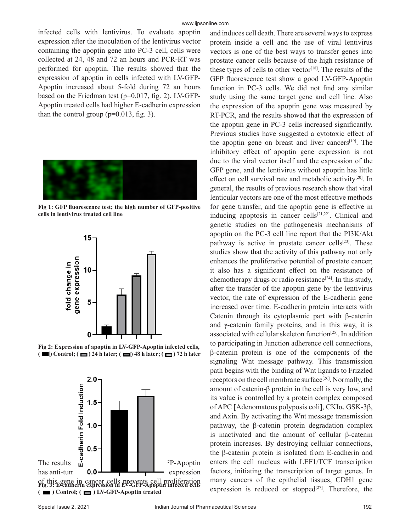infected cells with lentivirus. To evaluate apoptin expression after the inoculation of the lentivirus vector containing the apoptin gene into PC-3 cell, cells were collected at 24, 48 and 72 an hours and PCR-RT was performed for apoptin. The results showed that the expression of apoptin in cells infected with LV-GFP-Apoptin increased about 5-fold during 72 an hours based on the Friedman test (p=0.017, fig. 2). LV-GFP-Apoptin treated cells had higher E-cadherin expression than the control group  $(p=0.013, fig. 3)$ .



**Fig 1: GFP fluorescence test; the high number of GFP-positive cells in lentivirus treated cell line**



**Fig 2: Expression of apoptin in LV-GFP-Apoptin infected cells,**   $(\blacksquare)$  Control;  $(\blacksquare)$  24 h later;  $(\blacksquare)$  48 h later;  $(\blacksquare)$  72 h later



and induces cell death. There are several ways to express protein inside a cell and the use of viral lentivirus vectors is one of the best ways to transfer genes into prostate cancer cells because of the high resistance of these types of cells to other vector<sup>[18]</sup>. The results of the GFP fluorescence test show a good LV-GFP-Apoptin function in PC-3 cells. We did not find any similar study using the same target gene and cell line. Also the expression of the apoptin gene was measured by RT-PCR, and the results showed that the expression of the apoptin gene in PC-3 cells increased significantly. Previous studies have suggested a cytotoxic effect of the apoptin gene on breast and liver cancers $[19]$ . The inhibitory effect of apoptin gene expression is not due to the viral vector itself and the expression of the GFP gene, and the lentivirus without apoptin has little effect on cell survival rate and metabolic activity<sup>[20]</sup>. In general, the results of previous research show that viral lenticular vectors are one of the most effective methods for gene transfer, and the apoptin gene is effective in inducing apoptosis in cancer cells $[21,22]$ . Clinical and genetic studies on the pathogenesis mechanisms of apoptin on the PC-3 cell line report that the PI3K/Akt pathway is active in prostate cancer cells $[23]$ . These studies show that the activity of this pathway not only enhances the proliferative potential of prostate cancer; it also has a significant effect on the resistance of chemotherapy drugs or radio resistance<sup>[24]</sup>. In this study, after the transfer of the apoptin gene by the lentivirus vector, the rate of expression of the E-cadherin gene increased over time. E-cadherin protein interacts with Catenin through its cytoplasmic part with β-catenin and  $\gamma$ -catenin family proteins, and in this way, it is associated with cellular skeleton function<sup>[25]</sup>. In addition to participating in Junction adherence cell connections, β-catenin protein is one of the components of the signaling Wnt message pathway. This transmission path begins with the binding of Wnt ligands to Frizzled receptors on the cell membrane surface<sup>[26]</sup>. Normally, the amount of catenin-β protein in the cell is very low, and its value is controlled by a protein complex composed of APC [Adenomatous polyposis coli], CKIα, GSK-3β, and Axin. By activating the Wnt message transmission pathway, the β-catenin protein degradation complex is inactivated and the amount of cellular β-catenin protein increases. By destroying cellular connections, the β-catenin protein is isolated from E-cadherin and enters the cell nucleus with LEF1/TCF transcription factors, initiating the transcription of target genes. In many cancers of the epithelial tissues, CDH1 gene expression is reduced or stopped<sup>[27]</sup>. Therefore, the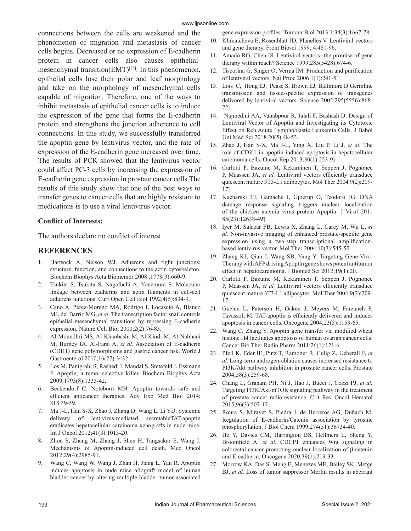connections between the cells are weakened and the phenomenon of migration and metastasis of cancer cells begins. Decreased or no expression of E-cadherin protein in cancer cells also causes epithelialmesenchymal transition(EMT)<sup>[28]</sup>. In this phenomenon, epithelial cells lose their polar and leaf morphology and take on the morphology of mesenchymal cells capable of migration. Therefore, one of the ways to inhibit metastasis of epithelial cancer cells is to induce the expression of the gene that forms the E-cadherin protein and strengthens the junction adherence to cell connections. In this study, we successfully transferred the apoptin gene by lentivirus vector, and the rate of expression of the E-cadherin gene increased over time. The results of PCR showed that the lentivirus vector could affect PC-3 cells by increasing the expression of E-cadherin gene expression in prostate cancer cells.The results of this study show that one of the best ways to transfer genes to cancer cells that are highly resistant to medications is to use a viral lentivirus vector.

### **Conflict of Interests:**

The authors declare no conflict of interest.

## **REFERENCES**

- 1. Hartsock A, Nelson WJ. Adherens and tight junctions: structure, function, and connections to the actin cytoskeleton. Biochem Biophys Acta Biomembr 2008 ;1778(3):660-9.
- 2. Tsukita S, Tsukita S, Nagafuchi A, Yonemura S. Molecular linkage between cadherins and actin filaments in cell-cell adherens junctions. Curr Open Cell Biol 1992;4(5):834-9.
- 3. Cano A, Pérez-Moreno MA, Rodrigo I, Locascio A, Blanco MJ, del Barrio MG, *et al.* The transcription factor snail controls epithelial-mesenchymal transitions by repressing E-cadherin expression. Nature Cell Biol 2000;2(2):76-83.
- 4. Al-Moundhri MS, Al-Khanbashi M, Al-Kindi M, Al-Nabhani M, Burney IA, Al-Farsi A, *et al.* Association of E-cadherin (CDH1) gene polymorphisms and gastric cancer risk. World J Gastroenterol 2010;16(27):3432.
- 5. Los M, Panigrahi S, Rashedi I, Mandal S, Stetefeld J, Essmann F. Apoptin, a tumor-selective killer. Biochem Biophys Acta 2009;1793(8):1335-42.
- 6. Beckendorf C, Noteborn MH. Apoptin towards safe and efficient anticancer therapies. Adv Exp Med Biol 2014; 818:39-59.
- 7. Ma J-L, Han S-X, Zhao J, Zhang D, Wang L, Li YD. Systemic delivery of lentivirus-mediated secretableTAT-apoptin eradicates hepatocellular carcinoma xenografts in nude mice. Int J Oncol 2012;41(3):1013-20.
- 8. Zhou S, Zhang M, Zhang J, Shen H, Tangsakar E, Wang J. Mechanisms of Apoptin-induced cell death. Med Oncol 2012;29(4):2985-91.
- 9. Wang C, Wang W, Wang J, Zhan H, Jiang L, Yan R. Apoptin induces apoptosis in nude mice allograft model of human bladder cancer by altering multiple bladder tumor-associated

gene expression profiles. Tumour Biol 2013 1;34(3):1667-78.

- 10. Klimatcheva E, Rosenblatt JD, Planelles V. Lentiviral vectors and gene therapy. Front Biosci 1999; 4:481-96.
- 11. Amado RG, Chen IS. Lentiviral vectors--the promise of gene therapy within reach? Science 1999;285(5428):674-6.
- 12. Tiscorina G, Singer O, Verma IM. Production and purification of lentiviral vectors. Nat Prtoc 2006 1(1):241-5.
- 13. Lois C, Hong EJ, Pease S, Brown EJ, Baltimore D.Germline transmission and tissue-specific expression of transgenes delivered by lentiviral vectors. Science 2002;295(5556):868- 72.
- 14. Najmedini AA, Vahabpour R, Jalali F, Bashash D. Design of Lentiviral Vector of Apoptin and Investigating its Cytotoxic Effect on Reh Acute Lymphoblastic Leukemia Cells. J Babol Uni Med Sci 2018 20(5):48-53.
- 15. Zhao J, Han S-X, Ma J-L, Ying X, Liu P, Li J, *et al.* The role of CDK1 in apoptin-induced apoptosis in hepatocellular carcinoma cells. Oncol Rep 2013;30(1):253-9.
- 16. Carlotti F, Bazuine M, Kekarainen T, Seppen J, Pognonec P, Maassen JA, *et al.* Lentiviral vectors efficiently transduce quiescent mature 3T3-L1 adipocytes. Mol Ther 2004 9(2):209- 17.
- 17. Kucharski TJ, Gamache I, Gjoerup O, Teodoro JG. DNA damage response signaling triggers nuclear localization of the chicken anemia virus protein Apoptin. J Virol 2011 85(23):12638-49.
- 18. Iyer M, Salazar FB, Lewis X, Zhang L, Carey M, Wu L, *et al.* Non-invasive imaging of enhanced prostate-specific gene expression using a two-step transcriptional amplificationbased lentivirus vector. Mol Ther 2004;10(3):545-52.
- 19. Zhang KJ, Qian J, Wang SB, Yang Y. Targeting Gene-Viro-Therapy with AFP driving Apoptin gene shows potent antitumor effect in hepatocarcinoma. J Biomed Sci 2012;19(1):20.
- 20. Carlotti F, Bazuine M, Kekarainen T, Seppen J, Pognonec P, Maassen JA, *et al.* Lentiviral vectors efficiently transduce quiescent mature 3T3-L1 adipocytes. Mol Ther 2004;9(2):209- 17.
- 21. Guelen L, Paterson H, Gäken J, Meyers M, Farzaneh F, Tavassoli M. TAT-apoptin is efficiently delivered and induces apoptosis in cancer cells. Oncogene 2004;23(5):1153-65.
- 22. Wang C, Zhang Y. Apoptin gene transfer via modified wheat histone H4 facilitates apoptosis of human ovarian cancer cells. Cancer Bio Ther Radio Pharm 2011;26(1):121-6.
- 23. Pfeil K, Eder IE, Putz T, Ramoner R, Culig Z, Ueberall F, *et al.* Long-term androgen-ablation causes increased resistance to PI3K/Akt pathway inhibition in prostate cancer cells. Prostate 2004;58(3):259-68.
- 24. Chang L, Graham PH, Ni J, Hao J, Bucci J, Cozzi PJ, *et al.* Targeting PI3K/Akt/mTOR signaling pathway in the treatment of prostate cancer radioresistance. Crit Rev Oncol Hematol 2015;96(3):507-17.
- 25. Roura S, Miravet S, Piedra J, de Herreros AG, Duñach M. Regulation of E-cadherin/Catenin association by tyrosine phosphorylation. J Biol Chem 1999;274(51):36734-40.
- 26. He Y, Davies CM, Harrington BS, Hellmers L, Sheng Y, Broomfield A, *et al.* CDCP1 enhances Wnt signaling in colorectal cancer promoting nuclear localization of β-catenin and E-cadherin. Oncogene 2020;39(1):219-33.
- 27. Morrow KA, Das S, Meng E, Menezes ME, Bailey SK, Metge BJ, *et al.* Loss of tumor suppressor Merlin results in aberrant